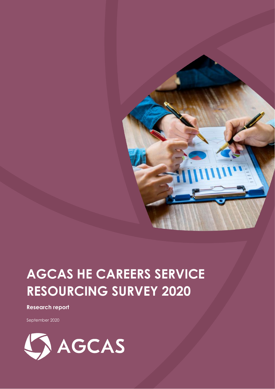

# **AGCAS HE CAREERS SERVICE RESOURCING SURVEY 2020**

#### **Research report**

September 2020

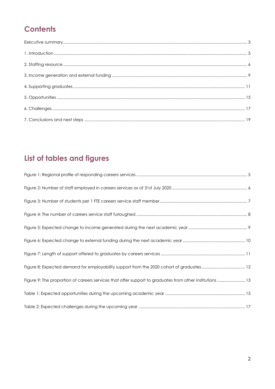### **Contents**

## List of tables and figures

| Figure 9: The proportion of careers services that offer support to graduates from other institutions  13 |
|----------------------------------------------------------------------------------------------------------|
|                                                                                                          |
|                                                                                                          |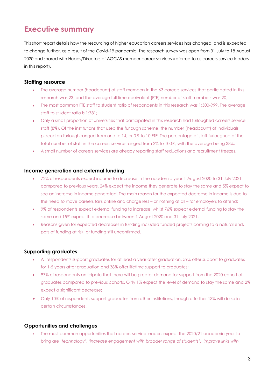### <span id="page-2-0"></span>**Executive summary**

This short report details how the resourcing of higher education careers services has changed, and is expected to change further, as a result of the Covid-19 pandemic. The research survey was open from 31 July to 18 August 2020 and shared with Heads/Directors of AGCAS member career services (referred to as careers service leaders in this report).

#### **Staffing resource**

- The average number (headcount) of staff members in the 63 careers services that participated in this research was 23, and the average full time equivalent (FTE) number of staff members was 20;
- The most common FTE staff to student ratio of respondents in this research was 1:500-999. The average staff to student ratio is 1:781;
- Only a small proportion of universities that participated in this research had furloughed careers service staff (8%). Of the institutions that used the furlough scheme, the number (headcount) of individuals placed on furlough ranged from one to 14, or 0.9 to 10 FTE. The percentage of staff furloughed of the total number of staff in the careers service ranged from 2% to 100%, with the average being 38%.
- A small number of careers services are already reporting staff reductions and recruitment freezes.

#### **Income generation and external funding**

- 72% of respondents expect income to decrease in the academic year 1 August 2020 to 31 July 2021 compared to previous years. 24% expect the income they generate to stay the same and 5% expect to see an increase in income generated. The main reason for the expected decrease in income is due to the need to move careers fairs online and charge less – or nothing at all – for employers to attend;
- 9% of respondents expect external funding to increase, whilst 76% expect external funding to stay the same and 15% expect it to decrease between 1 August 2020 and 31 July 2021;
- Reasons given for expected decreases in funding included funded projects coming to a natural end, pots of funding at risk, or funding still unconfirmed.

#### **Supporting graduates**

- All respondents support graduates for at least a year after graduation. 59% offer support to graduates for 1-5 years after graduation and 38% offer lifetime support to graduates;
- 97% of respondents anticipate that there will be greater demand for support from the 2020 cohort of graduates compared to previous cohorts. Only 1% expect the level of demand to stay the same and 2% expect a significant decrease;
- Only 10% of respondents support graduates from other institutions, though a further 13% will do so in certain circumstances.

#### **Opportunities and challenges**

 The most common opportunities that careers service leaders expect the 2020/21 academic year to bring are *'technology'*, '*increase engagement with broader range of students'*, '*improve links with*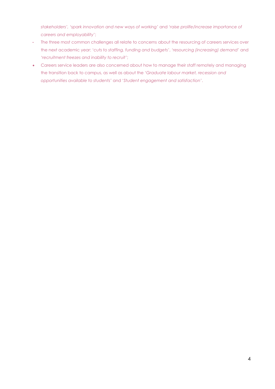*stakeholders', 'spark innovation and new ways of working'* and '*raise prolife/increase importance of careers and employability*';

- The three most common challenges all relate to concerns about the resourcing of careers services over the next academic year: '*cuts to staffing, funding and budgets'*, '*resourcing (increasing) demand*' and '*recruitment freezes and inability to recruit'*;
- Careers service leaders are also concerned about how to manage their staff remotely and managing the transition back to campus, as well as about the '*Graduate labour market, recession and opportunities available to students'* and '*Student engagement and satisfaction'*.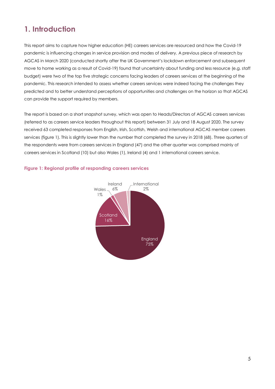### <span id="page-4-0"></span>**1. Introduction**

This report aims to capture how higher education (HE) careers services are resourced and how the Covid-19 pandemic is influencing changes in service provision and modes of delivery. A previous piece of research by AGCAS in March 2020 (conducted shortly after the UK Government's lockdown enforcement and subsequent move to home working as a result of Covid-19) found that uncertainty about funding and less resource (e.g. staff budget) were two of the top five strategic concerns facing leaders of careers services at the beginning of the pandemic. This research intended to assess whether careers services were indeed facing the challenges they predicted and to better understand perceptions of opportunities and challenges on the horizon so that AGCAS can provide the support required by members.

The report is based on a short snapshot survey, which was open to Heads/Directors of AGCAS careers services (referred to as careers service leaders throughout this report) between 31 July and 18 August 2020. The survey received 63 completed responses from English, Irish, Scottish, Welsh and international AGCAS member careers services (figure 1). This is slightly lower than the number that completed the survey in 2018 (68). Three quarters of the respondents were from careers services in England (47) and the other quarter was comprised mainly of careers services in Scotland (10) but also Wales (1), Ireland (4) and 1 international careers service.



#### <span id="page-4-1"></span>**Figure 1: Regional profile of responding careers services**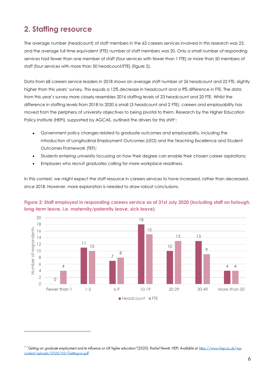### <span id="page-5-0"></span>**2. Staffing resource**

The average number (headcount) of staff members in the 63 careers services involved in this research was 23, and the average full time equivalent (FTE) number of staff members was 20. Only a small number of responding services had fewer than one member of staff (four services with fewer than 1 FTE) or more than 50 members of staff (four services with more than 50 headcount/FTE) (figure 2).

Data from 68 careers service leaders in 2018 shows an average staff number of 26 headcount and 22 FTE, slightly higher than this years' survey. This equals a 12% decrease in headcount and a 9% difference in FTE. The data from this year's survey more closely resembles 2016 staffing levels of 23 headcount and 20 FTE. Whilst the difference in staffing levels from 2018 to 2020 is small (3 headcount and 2 FTE), careers and employability has moved from the periphery of university objectives to being pivotal to them. Research by the Higher Education Policy Institute (HEPI), supported by AGCAS, outlined the drivers for this shift<sup>1</sup>:

- Government policy changes related to graduate outcomes and employability, including the introduction of Longitudinal Employment Outcomes (LEO) and the Teaching Excellence and Student Outcomes Framework (TEF);
- Students entering university focussing on how their degree can enable their chosen career aspirations;
- Employers who recruit graduates calling for more workplace readiness.

In this context, we might expect the staff resource in careers services to have increased, rather than decreased, since 2018. However, more exploration is needed to draw robust conclusions.



#### <span id="page-5-1"></span>**Figure 2: Staff employed in responding careers service as of 31st July 2020 (including staff on furlough, long-term leave, i.e. maternity/paternity leave, sick leave)**

<sup>&</sup>lt;sup>1</sup> 'Getting on: graduate employment and its influence on UK higher education" (2020), Rachel Hewitt, HEPI. Available at: https://www.hepi.ac.uk/wpcontent/uploads/2020/03/Getting-on.pdf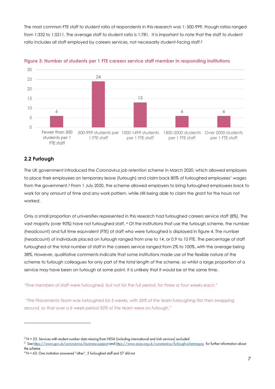The most common FTE staff to student ratio of respondents in this research was 1: 500-999, though ratios ranged from 1:332 to 1:5211. The average staff to student ratio is 1:781. It is important to note that the staff to student ratio includes all staff employed by careers services, not necessarily student-facing staff.<sup>2</sup>



<span id="page-6-0"></span>

#### **2.2 Furlough**

The UK government introduced the *Coronavirus job retention scheme* in March 2020, which allowed employers to place their employees on temporary leave (furlough) and claim back 80% of furloughed employees' wages from the government.<sup>3</sup> From 1 July 2020, the scheme allowed employers to bring furloughed employees back to work for any amount of time and any work pattern, while still being able to claim the grant for the hours not worked.

Only a small proportion of universities represented in this research had furloughed careers service staff (8%). The vast majority (over 90%) have not furloughed staff. <sup>4</sup> Of the institutions that use the furlough scheme, the number (headcount) and full time equivalent (FTE) of staff who were furloughed is displayed in figure 4. The number (headcount) of individuals placed on furlough ranged from one to 14, or 0.9 to 10 FTE. The percentage of staff furloughed of the total number of staff in the careers service ranged from 2% to 100%, with the average being 38%. However, qualitative comments indicate that some institutions made use of the flexible nature of the scheme to furlough colleagues for only part of the total length of the scheme, so whilst a large proportion of a service may have been on furlough at some point, it is unlikely that it would be at the same time.

*"Five members of staff were furloughed, but not for the full period, for three or four weeks each."*

"*The Placements Team was furloughed for 3 weeks, with 50% of the team furloughing first then swapping around, so that over a 6 week period 50% of the team were on furlough*."

 $2$  N = 55. Services with student number data missing from HESA (including international and Irish services) excluded

<sup>&</sup>lt;sup>3</sup> See https://www.gov.uk/coronavirus/business-support and https://www.acas.org.uk/coronavirus/furlough-scheme-pay for further information about the scheme

 $4 N = 63$ . One institution answered "other", 5 furloughed staff and 57 did not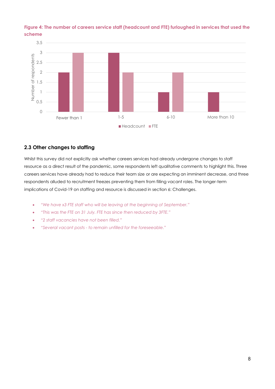

#### <span id="page-7-0"></span>**Figure 4: The number of careers service staff (headcount and FTE) furloughed in services that used the scheme**

#### **2.3 Other changes to staffing**

Whilst this survey did not explicitly ask whether careers services had already undergone changes to staff resource as a direct result of the pandemic, some respondents left qualitative comments to highlight this. Three careers services have already had to reduce their team size or are expecting an imminent decrease, and three respondents alluded to recruitment freezes preventing them from filling vacant roles. The longer-term implications of Covid-19 on staffing and resource is discussed in section 6: Challenges.

- *"We have x3 FTE staff who will be leaving at the beginning of September."*
- *"This was the FTE on 31 July. FTE has since then reduced by 3FTE."*
- *"2 staff vacancies have not been filled."*
- *"Several vacant posts - to remain unfilled for the foreseeable."*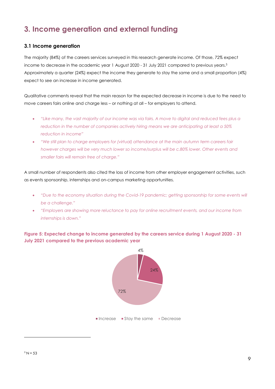### <span id="page-8-0"></span>**3. Income generation and external funding**

#### **3.1 Income generation**

The majority (84%) of the careers services surveyed in this research generate income. Of those, 72% expect income to decrease in the academic year 1 August 2020 - 31 July 2021 compared to previous years.<sup>5</sup> Approximately a quarter (24%) expect the income they generate to stay the same and a small proportion (4%) expect to see an increase in income generated.

Qualitative comments reveal that the main reason for the expected decrease in income is due to the need to move careers fairs online and charge less – or nothing at all – for employers to attend.

- *"Like many, the vast majority of our income was via fairs. A move to digital and reduced fees plus a reduction in the number of companies actively hiring means we are anticipating at least a 50% reduction in income"*
- *"We still plan to charge employers for (virtual) attendance at the main autumn term careers fair however charges will be very much lower so income/surplus will be c.80% lower. Other events and smaller fairs will remain free of charge."*

A small number of respondents also cited the loss of income from other employer engagement activities, such as events sponsorship, internships and on-campus marketing opportunities.

- *"Due to the economy situation during the Covid-19 pandemic; getting sponsorship for some events will be a challenge."*
- *"Employers are showing more reluctance to pay for online recruitment events, and our income from internships is down."*

<span id="page-8-1"></span>**Figure 5: Expected change to income generated by the careers service during 1 August 2020 - 31 July 2021 compared to the previous academic year**

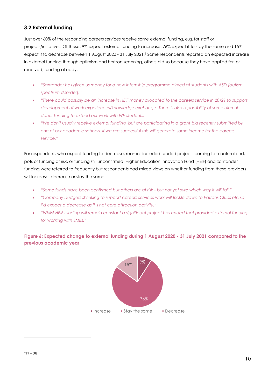#### **3.2 External funding**

Just over 60% of the responding careers services receive some external funding, e.g. for staff or projects/initiatives. Of these, 9% expect external funding to increase, 76% expect it to stay the same and 15% expect it to decrease between 1 August 2020 - 31 July 2021. <sup>6</sup> Some respondents reported an expected increase in external funding through optimism and horizon scanning, others did so because they have applied for, or received, funding already.

- *"Santander has given us money for a new internship programme aimed at students with ASD [autism spectrum disorder]."*
- *"There could possibly be an increase in HEIF money allocated to the careers service in 20/21 to support development of work experiences/knowledge exchange. There is also a possibility of some alumni donor funding to extend our work with WP students."*
- *"We don't usually receive external funding, but are participating in a grant bid recently submitted by one of our academic schools. If we are successful this will generate some income for the careers service."*

For respondents who expect funding to decrease, reasons included funded projects coming to a natural end, pots of funding at risk, or funding still unconfirmed. Higher Education Innovation Fund (HEIF) and Santander funding were referred to frequently but respondents had mixed views on whether funding from these providers will increase, decrease or stay the same.

- *"Some funds have been confirmed but others are at risk - but not yet sure which way it will fall."*
- *"Company budgets shrinking to support careers services work will trickle down to Patrons Clubs etc so I'd expect a decrease as it's not core attraction activity."*
- *"Whilst HEIF funding will remain constant a significant project has ended that provided external funding for working with SMEs."*

#### <span id="page-9-0"></span>**Figure 6: Expected change to external funding during 1 August 2020 - 31 July 2021 compared to the previous academic year**

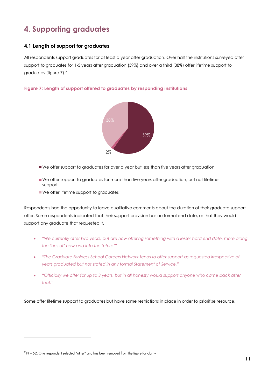### <span id="page-10-0"></span>**4. Supporting graduates**

#### **4.1 Length of support for graduates**

All respondents support graduates for at least a year after graduation. Over half the institutions surveyed offer support to graduates for 1-5 years after graduation (59%) and over a third (38%) offer lifetime support to graduates (figure 7).<sup>7</sup>

<span id="page-10-1"></span>



- We offer support to graduates for over a year but less than five years after graduation
- We offer support to graduates for more than five years after graduation, but not lifetime support
- We offer lifetime support to graduates

Respondents had the opportunity to leave qualitative comments about the duration of their graduate support offer. Some respondents indicated that their support provision has no formal end date, or that they would support any graduate that requested it.

- *"We currently offer two years, but are now offering something with a lesser hard end date, more along the lines of' now and into the future'"*
- *"The Graduate Business School Careers Network tends to offer support as requested irrespective of years graduated but not stated in any formal Statement of Service."*
- *"Officially we offer for up to 3 years, but in all honesty would support anyone who came back after that."*

Some offer lifetime support to graduates but have some restrictions in place in order to prioritise resource.

 $7$  N = 62. One respondent selected "other" and has been removed from the figure for clarity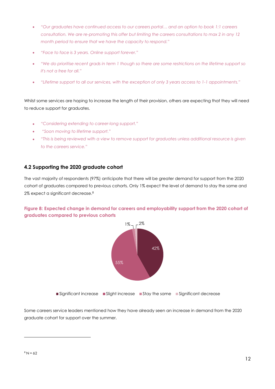- *"Our graduates have continued access to our careers portal… and an option to book 1:1 careers consultation. We are re-promoting this offer but limiting the careers consultations to max 2 in any 12 month period to ensure that we have the capacity to respond."*
- *"Face to face is 3 years. Online support forever."*
- *"We do prioritise recent grads in term 1 though so there are some restrictions on the lifetime support so it's not a free for all."*
- *"Lifetime support to all our services, with the exception of only 3 years access to 1-1 appointments."*

Whilst some services are hoping to increase the length of their provision, others are expecting that they will need to reduce support for graduates.

- *"Considering extending to career-long support."*
- *"Soon moving to lifetime support."*
- *"This is being reviewed with a view to remove support for graduates unless additional resource is given to the careers service."*

#### **4.2 Supporting the 2020 graduate cohort**

The vast majority of respondents (97%) anticipate that there will be greater demand for support from the 2020 cohort of graduates compared to previous cohorts. Only 1% expect the level of demand to stay the same and 2% expect a significant decrease.<sup>8</sup>

#### <span id="page-11-0"></span>**Figure 8: Expected change in demand for careers and employability support from the 2020 cohort of graduates compared to previous cohorts**



Some careers service leaders mentioned how they have already seen an increase in demand from the 2020 graduate cohort for support over the summer.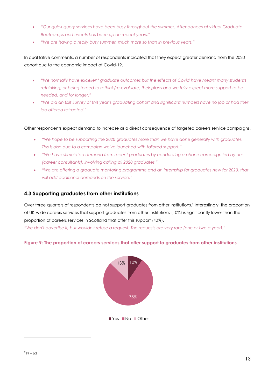- *"Our quick query services have been busy throughout the summer. Attendances at virtual Graduate Bootcamps and events has been up on recent years."*
- *"We are having a really busy summer, much more so than in previous years."*

In qualitative comments, a number of respondents indicated that they expect greater demand from the 2020 cohort due to the economic impact of Covid-19.

- *"We normally have excellent graduate outcomes but the effects of Covid have meant many students rethinking, or being forced to rethink/re-evaluate, their plans and we fully expect more support to be needed, and for longer."*
- *"We did an Exit Survey of this year's graduating cohort and significant numbers have no job or had their job offered retracted."*

Other respondents expect demand to increase as a direct consequence of targeted careers service campaigns.

- *"We hope to be supporting the 2020 graduates more than we have done generally with graduates. This is also due to a campaign we've launched with tailored support."*
- *"We have stimulated demand from recent graduates by conducting a phone campaign led by our [career consultants], involving calling all 2020 graduates."*
- *"We are offering a graduate mentoring programme and an internship for graduates new for 2020, that will add additional demands on the service."*

#### **4.3 Supporting graduates from other institutions**

Over three quarters of respondents do not support graduates from other institutions. 9 Interestingly, the proportion of UK-wide careers services that support graduates from other institutions (10%) is significantly lower than the proportion of careers services in Scotland that offer this support (40%). *"We don't advertise it, but wouldn't refuse a request. The requests are very rare (one or two a year)."*

#### <span id="page-12-0"></span>**Figure 9: The proportion of careers services that offer support to graduates from other institutions**

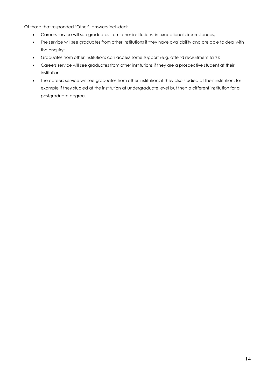Of those that responded 'Other', answers included:

- Careers service will see graduates from other institutions in exceptional circumstances;
- The service will see graduates from other institutions if they have availability and are able to deal with the enquiry;
- Graduates from other institutions can access some support (e.g. attend recruitment fairs);
- Careers service will see graduates from other institutions if they are a prospective student at their institution;
- The careers service will see graduates from other institutions if they also studied at their institution, for example if they studied at the institution at undergraduate level but then a different institution for a postgraduate degree.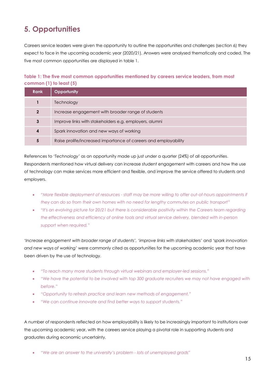### <span id="page-14-0"></span>**5. Opportunities**

Careers service leaders were given the opportunity to outline the opportunities and challenges (section 6) they expect to face in the upcoming academic year (2020/21). Answers were analysed thematically and coded. The five most common opportunities are displayed in table 1.

#### <span id="page-14-1"></span>**Table 1: The five most common opportunities mentioned by careers service leaders, from most common (1) to least (5)**

| <b>Rank</b> | <b>Opportunity</b>                                              |
|-------------|-----------------------------------------------------------------|
|             | Technology                                                      |
| $\mathbf 2$ | Increase engagement with broader range of students              |
| 3           | Improve links with stakeholders e.g. employers, alumni          |
| 4           | Spark innovation and new ways of working                        |
| 5           | Raise prolife/increased importance of careers and employability |

References to '*Technology'* as an opportunity made up just under a quarter (24%) of all opportunities. Respondents mentioned how virtual delivery can increase student engagement with careers and how the use of technology can make services more efficient and flexible, and improve the service offered to students and employers.

- *"More flexible deployment of resources - staff may be more willing to offer out-of-hours appointments if they can do so from their own homes with no need for lengthy commutes on public transport"*
- *"It's an evolving picture for 20/21 but there is considerable positivity within the Careers team regarding the effectiveness and efficiency of online tools and virtual service delivery, blended with in-person support when required."*

'*Increase engagement with broader range of students',* '*improve links with stakeholders'* and '*spark innovation and new ways of working'* were commonly cited as opportunities for the upcoming academic year that have been driven by the use of technology.

- *"To reach many more students through virtual webinars and employer-led sessions."*
- *"We have the potential to be involved with top 300 graduate recruiters we may not have engaged with before."*
- *"Opportunity to refresh practice and learn new methods of engagement."*
- *"We can continue innovate and find better ways to support students."*

A number of respondents reflected on how employability is likely to be increasingly important to institutions over the upcoming academic year, with the careers service playing a pivotal role in supporting students and graduates during economic uncertainty.

"*We are an answer to the university's problem - lots of unemployed grads"*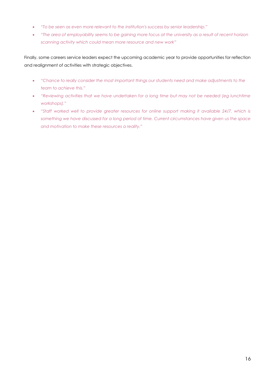- *"To be seen as even more relevant to the institution's success by senior leadership."*
- *"The area of employability seems to be gaining more focus at the university as a result of recent horizon scanning activity which could mean more resource and new work"*

Finally, some careers service leaders expect the upcoming academic year to provide opportunities for reflection and realignment of activities with strategic objectives.

- *"Chance to really consider the most important things our students need and make adjustments to the team to achieve this."*
- *"Reviewing activities that we have undertaken for a long time but may not be needed (eg lunchtime workshops)."*
- "Staff worked well to provide greater resources for online support making it available 24/7, which is *something we have discussed for a long period of time. Current circumstances have given us the space and motivation to make these resources a reality."*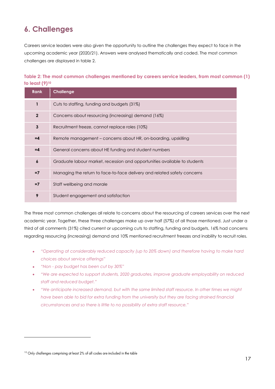### <span id="page-16-0"></span>**6. Challenges**

Careers service leaders were also given the opportunity to outline the challenges they expect to face in the upcoming academic year (2020/21). Answers were analysed thematically and coded. The most common challenges are displayed in table 2.

#### <span id="page-16-1"></span>**Table 2: The most common challenges mentioned by careers service leaders, from most common (1) to least (9)<sup>10</sup>**

| <b>Rank</b>      | <b>Challenge</b>                                                          |
|------------------|---------------------------------------------------------------------------|
| $\mathbf{1}$     | Cuts to staffing, funding and budgets (31%)                               |
| $\overline{2}$   | Concerns about resourcing (increasing) demand (16%)                       |
| 3                | Recruitment freeze, cannot replace roles (10%)                            |
| $=4$             | Remote management – concerns about HR, on-boarding, upskilling            |
| $=4$             | General concerns about HE funding and student numbers                     |
| $\boldsymbol{6}$ | Graduate labour market, recession and opportunities available to students |
| $=7$             | Managing the return to face-to-face delivery and related safety concerns  |
| $=7$             | Staff wellbeing and morale                                                |
| 9                | Student engagement and satisfaction                                       |

The three most common challenges all relate to concerns about the resourcing of careers services over the next academic year. Together, these three challenges make up over half (57%) of all those mentioned. Just under a third of all comments (31%) cited current or upcoming cuts to staffing, funding and budgets, 16% had concerns regarding resourcing (increasing) demand and 10% mentioned recruitment freezes and inability to recruit roles.

- *"Operating at considerably reduced capacity (up to 20% down) and therefore having to make hard choices about service offerings"*
- *"Non - pay budget has been cut by 30%"*
- *"We are expected to support students, 2020 graduates, improve graduate employability on reduced staff and reduced budget."*
- *"We anticipate increased demand, but with the same limited staff resource. In other times we might have been able to bid for extra funding from the university but they are facing strained financial circumstances and so there is little to no possibility of extra staff resource."*

<sup>&</sup>lt;sup>10</sup> Only challenges comprising at least 2% of all codes are included in the table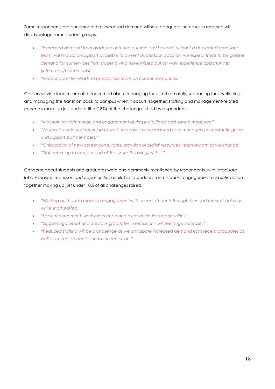Some respondents are concerned that increased demand without adequate increases in resource will disadvantage some student groups.

- *"Increased demand from graduates into the autumn and beyond, without a dedicated graduate team, will impact on support available to current students. In addition, we expect there to be greater demand for our services from students who have missed out on work experience opportunities (internships/placements)."*
- *"More support for Grads so possibly less focus on current UG cohorts."*

Careers service leaders are also concerned about managing their staff remotely, supporting their wellbeing, and managing the transition back to campus when it occurs. Together, staffing and management-related concerns make up just under a fifth (18%) of the challenges cited by respondents.

- *"Maintaining staff morale and engagement during institutional cost-saving measures."*
- *"Anxiety levels in staff returning to work. Increase in time required from managers to constantly guide and support staff members."*
- *"Onboarding of new career consultants, provision of digital resources, team dynamics will change"*
- *"Staff returning to campus and all the issues this brings with it."*

Concerns about students and graduates were also commonly mentioned by respondents, with '*graduate labour market, recession and opportunities available to students'* and '*student engagement and satisfaction'* together making up just under 10% of all challenges raised.

- *"Working out how to maintain engagement with current students through blended forms of delivery, whilst short staffed."*
- *"Lack of placement, work experience and extra-curricular opportunities."*
- *"Supporting current and previous graduates in recession - will see huge increase."*
- *"Reduced staffing will be a challenge as we anticipate increased demand from recent graduates as well as current students due to the recession."*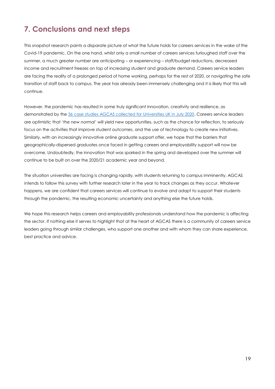### <span id="page-18-0"></span>**7. Conclusions and next steps**

This snapshot research paints a disparate picture of what the future holds for careers services in the wake of the Covid-19 pandemic. On the one hand, whilst only a small number of careers services furloughed staff over the summer, a much greater number are anticipating – or experiencing – staff/budget reductions, decreased income and recruitment freezes on top of increasing student and graduate demand. Careers service leaders are facing the reality of a prolonged period of home working, perhaps for the rest of 2020, or navigating the safe transition of staff back to campus. The year has already been immensely challenging and it is likely that this will continue.

However, the pandemic has resulted in some truly significant innovation, creativity and resilience, as demonstrated by the [36 case studies AGCAS collected for Universities UK in July 2020.](https://www.agcas.org.uk/write/MediaUploads/Phoenix/UUK_AGCAS_case_studies_-_How_university_careers_services_have_responded_to_Covid-19.pdf) Careers service leaders are optimistic that '*the new normal'* will yield new opportunities, such as the chance for reflection, to seriously focus on the activities that improve student outcomes, and the use of technology to create new initiatives. Similarly, with an increasingly innovative online graduate support offer, we hope that the barriers that geographically-dispersed graduates once faced in getting careers and employability support will now be overcome. Undoubtedly, the innovation that was sparked in the spring and developed over the summer will continue to be built on over the 2020/21 academic year and beyond.

The situation universities are facing is changing rapidly, with students returning to campus imminently. AGCAS intends to follow this survey with further research later in the year to track changes as they occur. Whatever happens, we are confident that careers services will continue to evolve and adapt to support their students through the pandemic, the resulting economic uncertainty and anything else the future holds.

We hope this research helps careers and employability professionals understand how the pandemic is affecting the sector. If nothing else it serves to highlight that at the heart of AGCAS there is a community of careers service leaders going through similar challenges, who support one another and with whom they can share experience, best practice and advice.